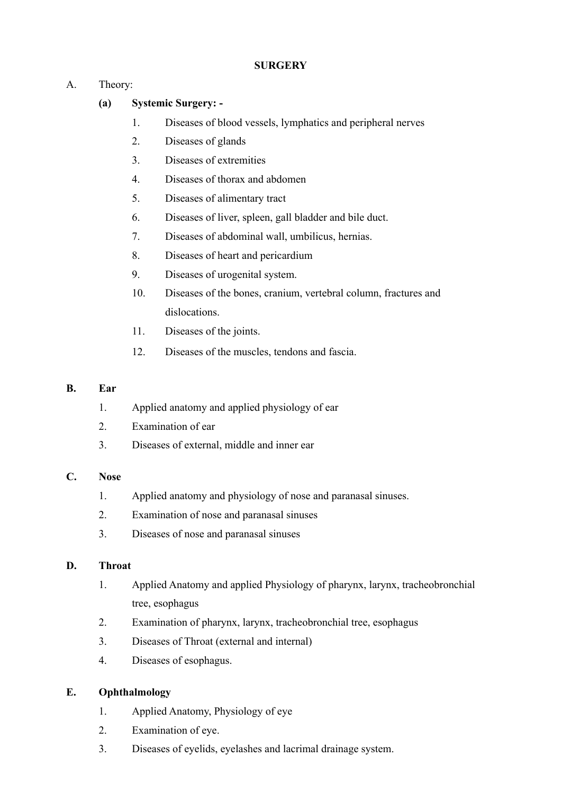# **SURGERY**

# A. Theory:

# **(a) Systemic Surgery: -**

- 1. Diseases of blood vessels, lymphatics and peripheral nerves
- 2. Diseases of glands
- 3. Diseases of extremities
- 4. Diseases of thorax and abdomen
- 5. Diseases of alimentary tract
- 6. Diseases of liver, spleen, gall bladder and bile duct.
- 7. Diseases of abdominal wall, umbilicus, hernias.
- 8. Diseases of heart and pericardium
- 9. Diseases of urogenital system.
- 10. Diseases of the bones, cranium, vertebral column, fractures and dislocations.
- 11. Diseases of the joints.
- 12. Diseases of the muscles, tendons and fascia.

# **B. Ear**

- 1. Applied anatomy and applied physiology of ear
- 2. Examination of ear
- 3. Diseases of external, middle and inner ear

# **C. Nose**

- 1. Applied anatomy and physiology of nose and paranasal sinuses.
- 2. Examination of nose and paranasal sinuses
- 3. Diseases of nose and paranasal sinuses

# **D. Throat**

- 1. Applied Anatomy and applied Physiology of pharynx, larynx, tracheobronchial tree, esophagus
- 2. Examination of pharynx, larynx, tracheobronchial tree, esophagus
- 3. Diseases of Throat (external and internal)
- 4. Diseases of esophagus.

# **E. Ophthalmology**

- 1. Applied Anatomy, Physiology of eye
- 2. Examination of eye.
- 3. Diseases of eyelids, eyelashes and lacrimal drainage system.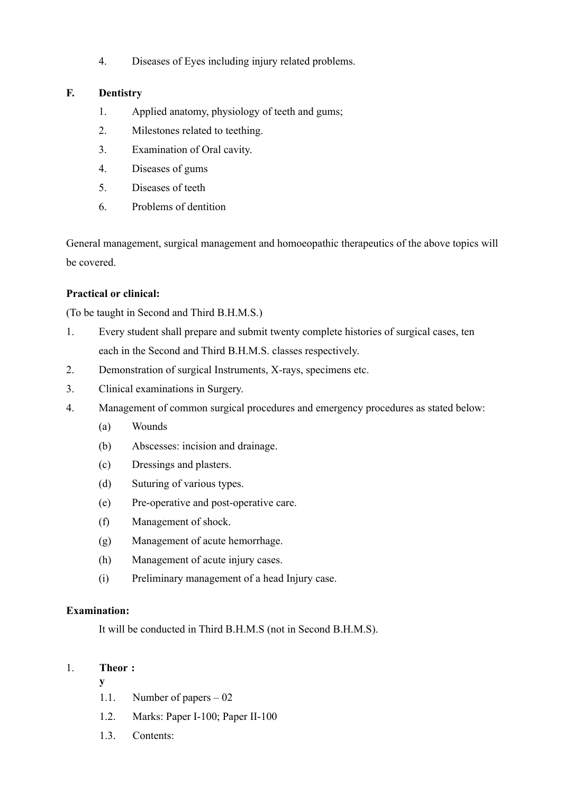4. Diseases of Eyes including injury related problems.

# **F. Dentistry**

- 1. Applied anatomy, physiology of teeth and gums;
- 2. Milestones related to teething.
- 3. Examination of Oral cavity.
- 4. Diseases of gums
- 5. Diseases of teeth
- 6. Problems of dentition

General management, surgical management and homoeopathic therapeutics of the above topics will be covered.

# **Practical or clinical:**

(To be taught in Second and Third B.H.M.S.)

- 1. Every student shall prepare and submit twenty complete histories of surgical cases, ten each in the Second and Third B.H.M.S. classes respectively.
- 2. Demonstration of surgical Instruments, X-rays, specimens etc.
- 3. Clinical examinations in Surgery.
- 4. Management of common surgical procedures and emergency procedures as stated below:
	- (a) Wounds
	- (b) Abscesses: incision and drainage.
	- (c) Dressings and plasters.
	- (d) Suturing of various types.
	- (e) Pre-operative and post-operative care.
	- (f) Management of shock.
	- (g) Management of acute hemorrhage.
	- (h) Management of acute injury cases.
	- (i) Preliminary management of a head Injury case.

# **Examination:**

It will be conducted in Third B.H.M.S (not in Second B.H.M.S).

# 1. **Theor :**

**y**

- 1.1. Number of papers 02
- 1.2. Marks: Paper I-100; Paper II-100
- 1.3. Contents: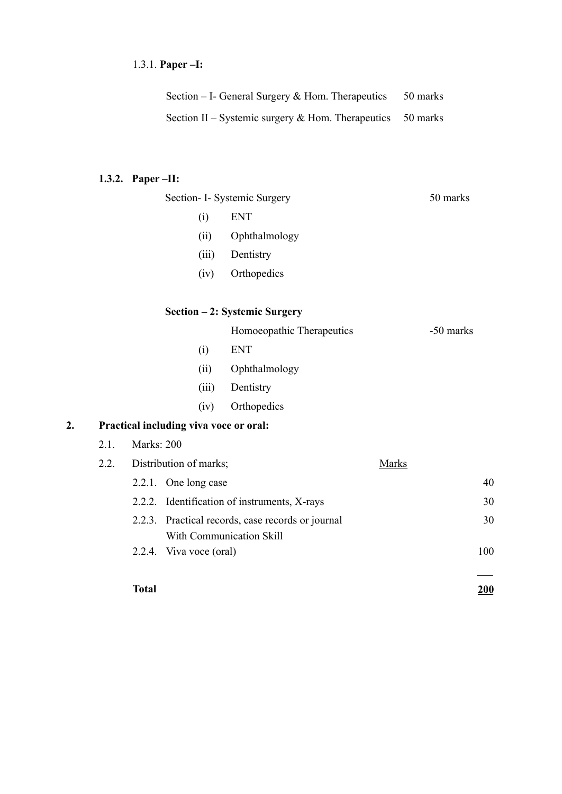# 1.3.1. **Paper –I:**

| Section $-$ I- General Surgery & Hom. Therapeutics           | 50 marks |
|--------------------------------------------------------------|----------|
| Section II – Systemic surgery $&$ Hom. Therapeutics 50 marks |          |

# **1.3.2. Paper –II:**

|    |      | Section- I- Systemic Surgery           |       |                                                                        |              | 50 marks  |     |
|----|------|----------------------------------------|-------|------------------------------------------------------------------------|--------------|-----------|-----|
|    |      |                                        | (i)   | <b>ENT</b>                                                             |              |           |     |
|    |      |                                        | (ii)  | Ophthalmology                                                          |              |           |     |
|    |      |                                        | (iii) | Dentistry                                                              |              |           |     |
|    |      |                                        | (iv)  | Orthopedics                                                            |              |           |     |
|    |      |                                        |       | Section - 2: Systemic Surgery                                          |              |           |     |
|    |      |                                        |       | Homoeopathic Therapeutics                                              |              | -50 marks |     |
|    |      |                                        | (i)   | <b>ENT</b>                                                             |              |           |     |
|    |      |                                        | (ii)  | Ophthalmology                                                          |              |           |     |
|    |      |                                        | (iii) | Dentistry                                                              |              |           |     |
|    |      |                                        | (iv)  | Orthopedics                                                            |              |           |     |
| 2. |      | Practical including viva voce or oral: |       |                                                                        |              |           |     |
|    | 2.1. | Marks: 200                             |       |                                                                        |              |           |     |
|    | 2.2. | Distribution of marks;                 |       |                                                                        | <b>Marks</b> |           |     |
|    |      | 2.2.1. One long case                   |       |                                                                        |              |           | 40  |
|    |      | 2.2.2.                                 |       | Identification of instruments, X-rays                                  |              |           | 30  |
|    |      | 2.2.3.                                 |       | Practical records, case records or journal<br>With Communication Skill |              |           | 30  |
|    |      | 2.2.4. Viva voce (oral)                |       |                                                                        |              |           | 100 |
|    |      |                                        |       |                                                                        |              |           |     |

#### **Total 200**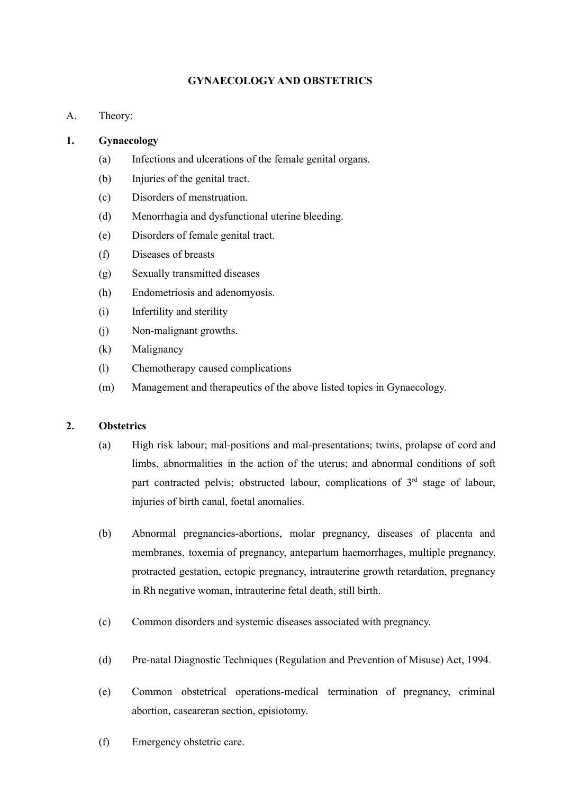# **GYNAECOLOGY AND OBSTETRICS**

A. Theory:

# **1. Gynaecology**

- (a) Infections and ulcerations of the female genital organs.
- (b) Injuries of the genital tract.
- (c) Disorders of menstruation.
- (d) Menorrhagia and dysfunctional uterine bleeding.
- (e) Disorders of female genital tract.
- (f) Diseases of breasts
- (g) Sexually transmitted diseases
- (h) Endometriosis and adenomyosis.
- (i) Infertility and sterility
- (j) Non-malignant growths.
- (k) Malignancy
- (l) Chemotherapy caused complications
- (m) Management and therapeutics of the above listed topics in Gynaecology.

# **2. Obstetrics**

- (a) High risk labour; mal-positions and mal-presentations; twins, prolapse of cord and limbs, abnormalities in the action of the uterus; and abnormal conditions of soft part contracted pelvis; obstructed labour, complications of 3<sup>rd</sup> stage of labour, injuries of birth canal, foetal anomalies.
- (b) Abnormal pregnancies-abortions, molar pregnancy, diseases of placenta and membranes, toxemia of pregnancy, antepartum haemorrhages, multiple pregnancy, protracted gestation, ectopic pregnancy, intrauterine growth retardation, pregnancy in Rh negative woman, intrauterine fetal death, still birth.
- (c) Common disorders and systemic diseases associated with pregnancy.
- (d) Pre-natal Diagnostic Techniques (Regulation and Prevention of Misuse) Act, 1994.
- (e) Common obstetrical operations-medical termination of pregnancy, criminal abortion, caseareran section, episiotomy.
- (f) Emergency obstetric care.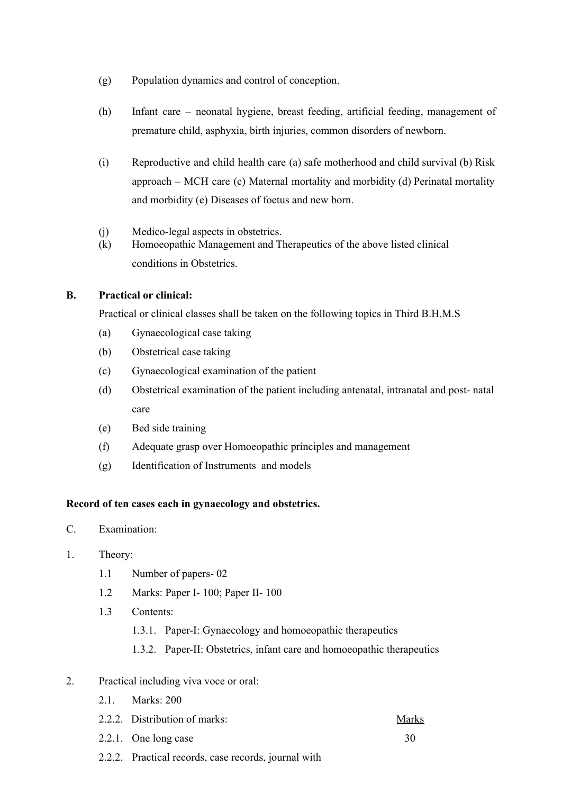- (g) Population dynamics and control of conception.
- (h) Infant care neonatal hygiene, breast feeding, artificial feeding, management of premature child, asphyxia, birth injuries, common disorders of newborn.
- (i) Reproductive and child health care (a) safe motherhood and child survival (b) Risk approach – MCH care (c) Maternal mortality and morbidity (d) Perinatal mortality and morbidity (e) Diseases of foetus and new born.
- (j) Medico-legal aspects in obstetrics.
- (k) Homoeopathic Management and Therapeutics of the above listed clinical conditions in Obstetrics.

# **B. Practical or clinical:**

Practical or clinical classes shall be taken on the following topics in Third B.H.M.S

- (a) Gynaecological case taking
- (b) Obstetrical case taking
- (c) Gynaecological examination of the patient
- (d) Obstetrical examination of the patient including antenatal, intranatal and post- natal care
- (e) Bed side training
- (f) Adequate grasp over Homoeopathic principles and management
- (g) Identification of Instruments and models

# **Record of ten cases each in gynaecology and obstetrics.**

- C. Examination:
- 1. Theory:
	- 1.1 Number of papers- 02
	- 1.2 Marks: Paper I- 100; Paper II- 100
	- 1.3 Contents:
		- 1.3.1. Paper-I: Gynaecology and homoeopathic therapeutics
		- 1.3.2. Paper-II: Obstetrics, infant care and homoeopathic therapeutics
- 2. Practical including viva voce or oral:
	- 2.1. Marks: 200
	- 2.2.2. Distribution of marks: Marks
	- $2.2.1.$  One long case  $30$
	- 2.2.2. Practical records, case records, journal with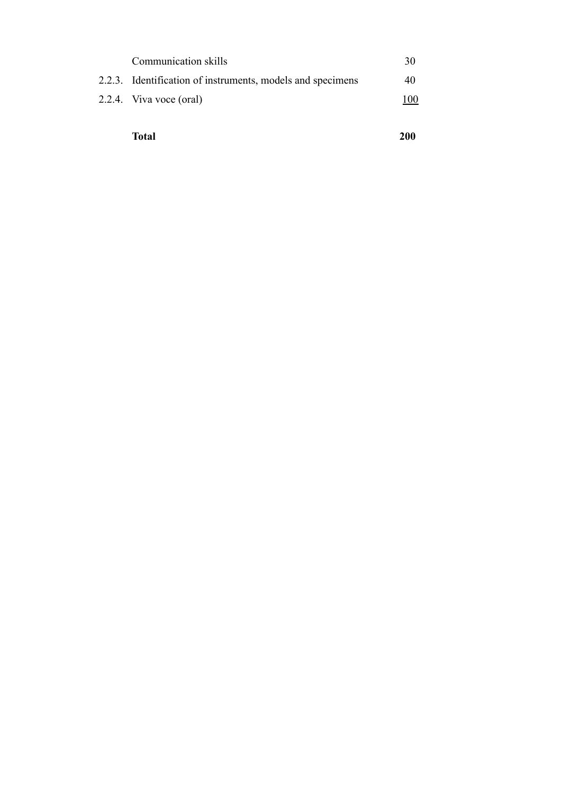| Communication skills                                       | 30  |
|------------------------------------------------------------|-----|
| 2.2.3. Identification of instruments, models and specimens | 40  |
| 2.2.4. Viva voce (oral)                                    | 100 |
|                                                            |     |

**Total 200**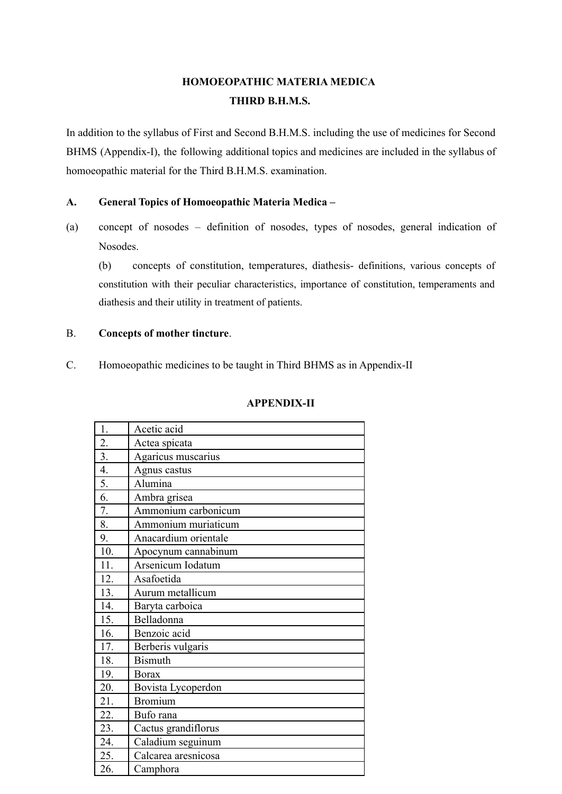# **HOMOEOPATHIC MATERIA MEDICA THIRD B.H.M.S.**

In addition to the syllabus of First and Second B.H.M.S. including the use of medicines for Second BHMS (Appendix-I), the following additional topics and medicines are included in the syllabus of homoeopathic material for the Third B.H.M.S. examination.

# **A. General Topics of Homoeopathic Materia Medica –**

(a) concept of nosodes – definition of nosodes, types of nosodes, general indication of Nosodes.

(b) concepts of constitution, temperatures, diathesis- definitions, various concepts of constitution with their peculiar characteristics, importance of constitution, temperaments and diathesis and their utility in treatment of patients.

# B. **Concepts of mother tincture**.

C. Homoeopathic medicines to be taught in Third BHMS as in Appendix-II

| <b>APPENDIX-II</b> |  |
|--------------------|--|
|                    |  |

| 1.  | Acetic acid          |
|-----|----------------------|
| 2.  | Actea spicata        |
| 3.  | Agaricus muscarius   |
| 4.  | Agnus castus         |
| 5.  | Alumina              |
| 6.  | Ambra grisea         |
| 7.  | Ammonium carbonicum  |
| 8.  | Ammonium muriaticum  |
| 9.  | Anacardium orientale |
| 10. | Apocynum cannabinum  |
| 11. | Arsenicum Iodatum    |
| 12. | Asafoetida           |
| 13. | Aurum metallicum     |
| 14. | Baryta carboica      |
| 15. | Belladonna           |
| 16. | Benzoic acid         |
| 17. | Berberis vulgaris    |
| 18. | <b>Bismuth</b>       |
| 19. | <b>Borax</b>         |
| 20. | Bovista Lycoperdon   |
| 21. | <b>Bromium</b>       |
| 22. | Bufo rana            |
| 23. | Cactus grandiflorus  |
| 24. | Caladium seguinum    |
| 25. | Calcarea aresnicosa  |
| 26. | Camphora             |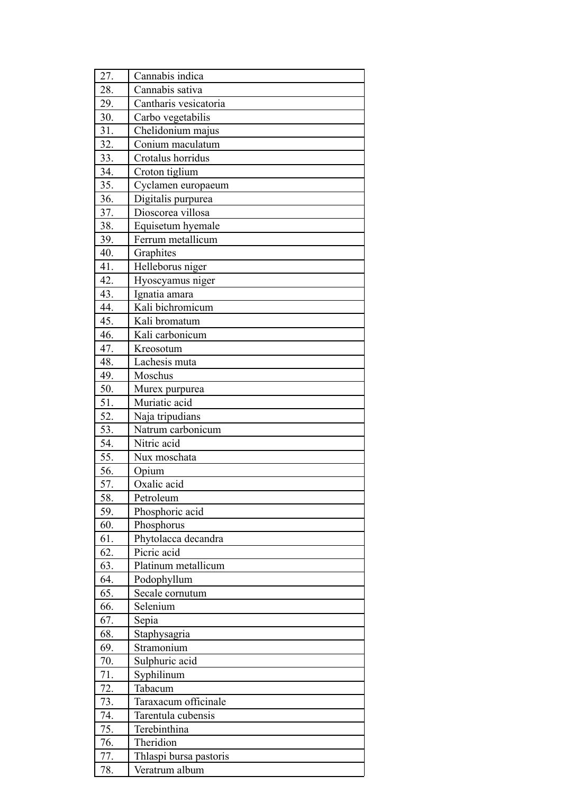| 27.        | Cannabis indica        |
|------------|------------------------|
| 28.        | Cannabis sativa        |
| 29.        | Cantharis vesicatoria  |
| 30.        | Carbo vegetabilis      |
| 31.        | Chelidonium majus      |
| 32.        | Conium maculatum       |
| 33.        | Crotalus horridus      |
| 34.        | Croton tiglium         |
| 35.        | Cyclamen europaeum     |
| 36.        | Digitalis purpurea     |
| 37.        | Dioscorea villosa      |
| 38.        | Equisetum hyemale      |
| 39.        | Ferrum metallicum      |
| 40.        | Graphites              |
| 41.        | Helleborus niger       |
| 42.        | Hyoscyamus niger       |
| 43.        | Ignatia amara          |
| 44.        | Kali bichromicum       |
| 45.        | Kali bromatum          |
| 46.        | Kali carbonicum        |
| 47.        | Kreosotum              |
| 48.        | Lachesis muta          |
| 49.        | Moschus                |
| 50.        | Murex purpurea         |
| 51.        | Muriatic acid          |
| 52.        | Naja tripudians        |
| 53.        | Natrum carbonicum      |
| 54.        | Nitric acid            |
| 55.        | Nux moschata           |
| 56.        | Opium                  |
| 57.        | Oxalic acid            |
| 58.        | Petroleum              |
| 59.        | Phosphoric acid        |
| 60.        | Phosphorus             |
| 61.        | Phytolacca decandra    |
| 62.        | Picric acid            |
| 63.        | Platinum metallicum    |
| 64.        | Podophyllum            |
| 65.        | Secale cornutum        |
| 66.        | Selenium               |
| 67.        | Sepia                  |
| 68.        | Staphysagria           |
| 69.        | Stramonium             |
| 70.        | Sulphuric acid         |
| 71.<br>72. | Syphilinum<br>Tabacum  |
| 73.        | Taraxacum officinale   |
| 74.        | Tarentula cubensis     |
| 75.        | Terebinthina           |
| 76.        | Theridion              |
| 77.        | Thlaspi bursa pastoris |
| 78.        | Veratrum album         |
|            |                        |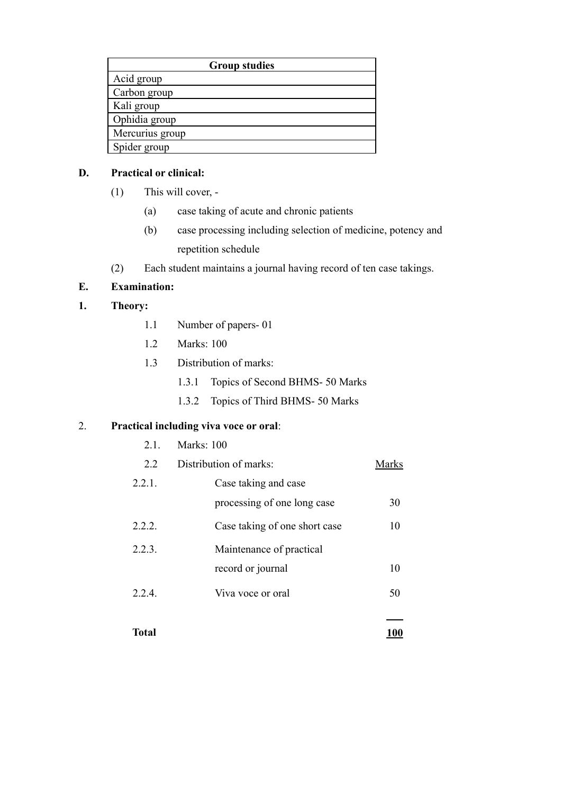|                 | <b>Group studies</b> |
|-----------------|----------------------|
| Acid group      |                      |
| Carbon group    |                      |
| Kali group      |                      |
| Ophidia group   |                      |
| Mercurius group |                      |
| Spider group    |                      |

# **D. Practical or clinical:**

- (1) This will cover,
	- (a) case taking of acute and chronic patients
	- (b) case processing including selection of medicine, potency and repetition schedule
- (2) Each student maintains a journal having record of ten case takings.

# **E. Examination:**

# **1. Theory:**

- 1.1 Number of papers- 01
- 1.2 Marks: 100
- 1.3 Distribution of marks:
	- 1.3.1 Topics of Second BHMS- 50 Marks
	- 1.3.2 Topics of Third BHMS- 50 Marks

# 2. **Practical including viva voce or oral**:

2.1. Marks: 100

| 2.2          | Distribution of marks:        | <b>Marks</b> |
|--------------|-------------------------------|--------------|
| 2.2.1.       | Case taking and case          |              |
|              | processing of one long case   | 30           |
| 2.2.2.       | Case taking of one short case | 10           |
| 2.2.3.       | Maintenance of practical      |              |
|              | record or journal             | 10           |
| 224          | Viva voce or oral             | 50           |
| <b>Total</b> |                               |              |
|              |                               | 1 V V        |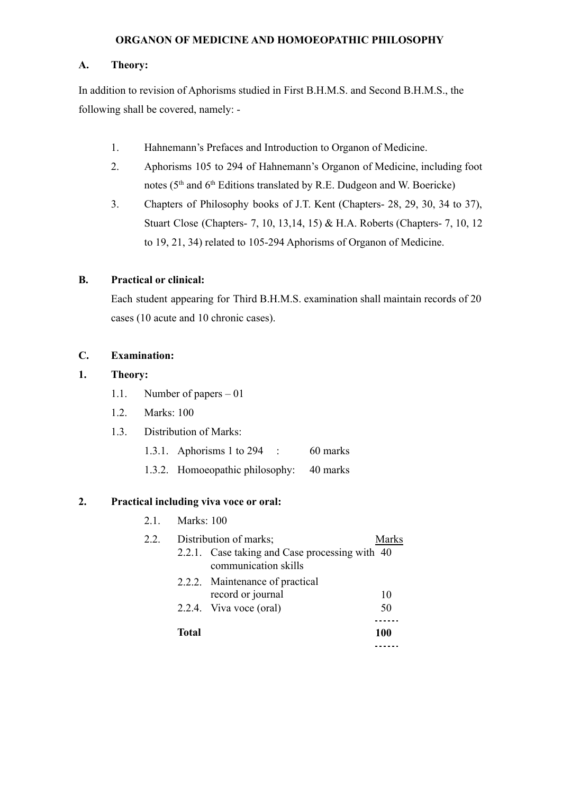### **ORGANON OF MEDICINE AND HOMOEOPATHIC PHILOSOPHY**

### **A. Theory:**

In addition to revision of Aphorisms studied in First B.H.M.S. and Second B.H.M.S., the following shall be covered, namely: -

- 1. Hahnemann's Prefaces and Introduction to Organon of Medicine.
- 2. Aphorisms 105 to 294 of Hahnemann's Organon of Medicine, including foot notes (5<sup>th</sup> and 6<sup>th</sup> Editions translated by R.E. Dudgeon and W. Boericke)
- 3. Chapters of Philosophy books of J.T. Kent (Chapters- 28, 29, 30, 34 to 37), Stuart Close (Chapters- 7, 10, 13,14, 15) & H.A. Roberts (Chapters- 7, 10, 12 to 19, 21, 34) related to 105-294 Aphorisms of Organon of Medicine.

# **B. Practical or clinical:**

Each student appearing for Third B.H.M.S. examination shall maintain records of 20 cases (10 acute and 10 chronic cases).

# **C. Examination:**

### **1. Theory:**

- 1.1. Number of papers 01
- 1.2. Marks: 100
- 1.3. Distribution of Marks:
	- 1.3.1. Aphorisms 1 to 294 : 60 marks
	- 1.3.2. Homoeopathic philosophy: 40 marks

# **2. Practical including viva voce or oral:**

|              | communication skills | Marks                                                                                                                                                     |
|--------------|----------------------|-----------------------------------------------------------------------------------------------------------------------------------------------------------|
|              | record or journal    | 10                                                                                                                                                        |
|              |                      | 50                                                                                                                                                        |
| <b>Total</b> |                      | 100                                                                                                                                                       |
|              |                      | 2.1. Marks: 100<br>Distribution of marks;<br>2.2.1. Case taking and Case processing with 40<br>2.2.2. Maintenance of practical<br>2.2.4. Viva voce (oral) |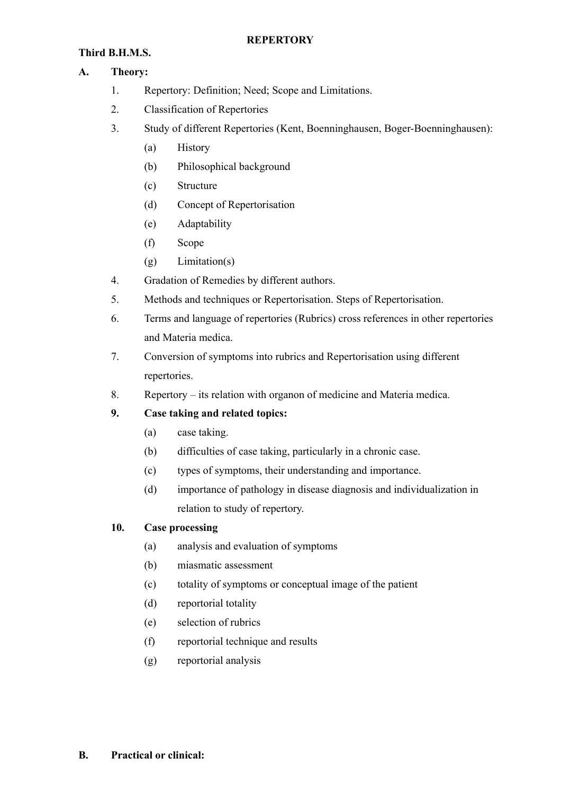# **REPERTORY**

# **Third B.H.M.S.**

# **A. Theory:**

- 1. Repertory: Definition; Need; Scope and Limitations.
- 2. Classification of Repertories
- 3. Study of different Repertories (Kent, Boenninghausen, Boger-Boenninghausen):
	- (a) History
	- (b) Philosophical background
	- (c) Structure
	- (d) Concept of Repertorisation
	- (e) Adaptability
	- (f) Scope
	- (g) Limitation(s)
- 4. Gradation of Remedies by different authors.
- 5. Methods and techniques or Repertorisation. Steps of Repertorisation.
- 6. Terms and language of repertories (Rubrics) cross references in other repertories and Materia medica.
- 7. Conversion of symptoms into rubrics and Repertorisation using different repertories.
- 8. Repertory its relation with organon of medicine and Materia medica.
- **9. Case taking and related topics:**
	- (a) case taking.
	- (b) difficulties of case taking, particularly in a chronic case.
	- (c) types of symptoms, their understanding and importance.
	- (d) importance of pathology in disease diagnosis and individualization in relation to study of repertory.

# **10. Case processing**

- (a) analysis and evaluation of symptoms
- (b) miasmatic assessment
- (c) totality of symptoms or conceptual image of the patient
- (d) reportorial totality
- (e) selection of rubrics
- (f) reportorial technique and results
- (g) reportorial analysis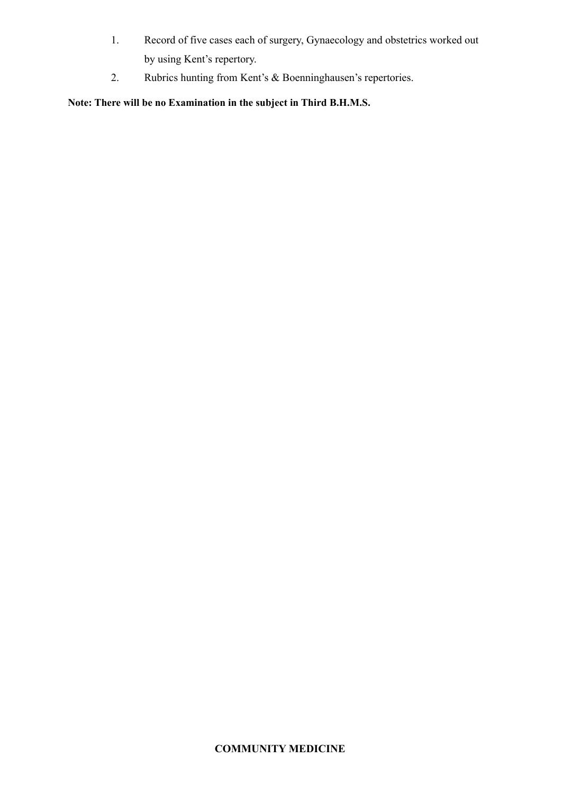- 1. Record of five cases each of surgery, Gynaecology and obstetrics worked out by using Kent's repertory.
- 2. Rubrics hunting from Kent's & Boenninghausen's repertories.

**Note: There will be no Examination in the subject in Third B.H.M.S.**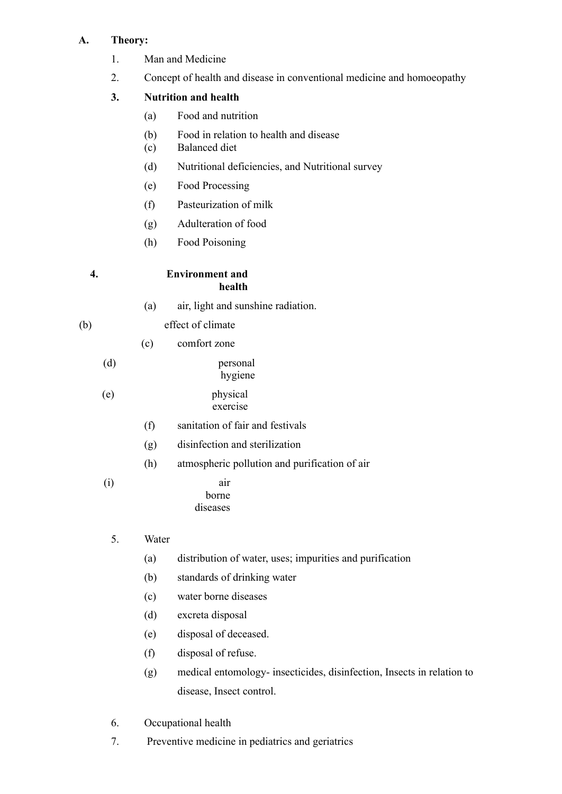# **A. Theory:**

- 1. Man and Medicine
- 2. Concept of health and disease in conventional medicine and homoeopathy

# **3. Nutrition and health**

- (a) Food and nutrition
- (b) Food in relation to health and disease
- (c) Balanced diet
- (d) Nutritional deficiencies, and Nutritional survey
- (e) Food Processing
- (f) Pasteurization of milk
- (g) Adulteration of food
- (h) Food Poisoning

# **4. Environment and**

(a) air, light and sunshine radiation.

**health**

- (b) effect of climate
	- (c) comfort zone
	- (d) personal hygiene

# (e) physical exercise

- (f) sanitation of fair and festivals
- (g) disinfection and sterilization
- (h) atmospheric pollution and purification of air
- (i) air borne diseases

# 5. Water

- (a) distribution of water, uses; impurities and purification
- (b) standards of drinking water
- (c) water borne diseases
- (d) excreta disposal
- (e) disposal of deceased.
- (f) disposal of refuse.
- (g) medical entomology- insecticides, disinfection, Insects in relation to disease, Insect control.
- 6. Occupational health
- 7. Preventive medicine in pediatrics and geriatrics